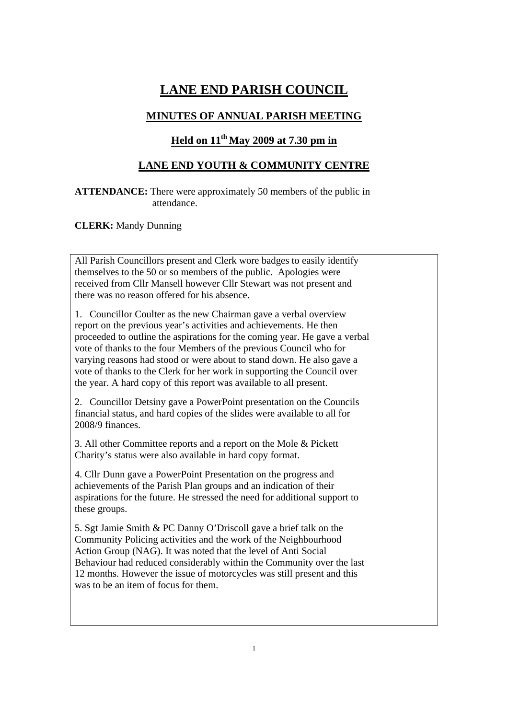## **LANE END PARISH COUNCIL**

## **MINUTES OF ANNUAL PARISH MEETING**

## **Held on 11th May 2009 at 7.30 pm in**

## **LANE END YOUTH & COMMUNITY CENTRE**

**ATTENDANCE:** There were approximately 50 members of the public in attendance.

**CLERK:** Mandy Dunning

| All Parish Councillors present and Clerk wore badges to easily identify<br>themselves to the 50 or so members of the public. Apologies were<br>received from Cllr Mansell however Cllr Stewart was not present and<br>there was no reason offered for his absence.                                                                                                                                                                                                                                                   |  |
|----------------------------------------------------------------------------------------------------------------------------------------------------------------------------------------------------------------------------------------------------------------------------------------------------------------------------------------------------------------------------------------------------------------------------------------------------------------------------------------------------------------------|--|
| 1. Councillor Coulter as the new Chairman gave a verbal overview<br>report on the previous year's activities and achievements. He then<br>proceeded to outline the aspirations for the coming year. He gave a verbal<br>vote of thanks to the four Members of the previous Council who for<br>varying reasons had stood or were about to stand down. He also gave a<br>vote of thanks to the Clerk for her work in supporting the Council over<br>the year. A hard copy of this report was available to all present. |  |
| 2. Councillor Detsiny gave a PowerPoint presentation on the Councils<br>financial status, and hard copies of the slides were available to all for<br>2008/9 finances.                                                                                                                                                                                                                                                                                                                                                |  |
| 3. All other Committee reports and a report on the Mole & Pickett<br>Charity's status were also available in hard copy format.                                                                                                                                                                                                                                                                                                                                                                                       |  |
| 4. Cllr Dunn gave a PowerPoint Presentation on the progress and<br>achievements of the Parish Plan groups and an indication of their<br>aspirations for the future. He stressed the need for additional support to<br>these groups.                                                                                                                                                                                                                                                                                  |  |
| 5. Sgt Jamie Smith & PC Danny O'Driscoll gave a brief talk on the<br>Community Policing activities and the work of the Neighbourhood<br>Action Group (NAG). It was noted that the level of Anti Social<br>Behaviour had reduced considerably within the Community over the last<br>12 months. However the issue of motorcycles was still present and this<br>was to be an item of focus for them.                                                                                                                    |  |